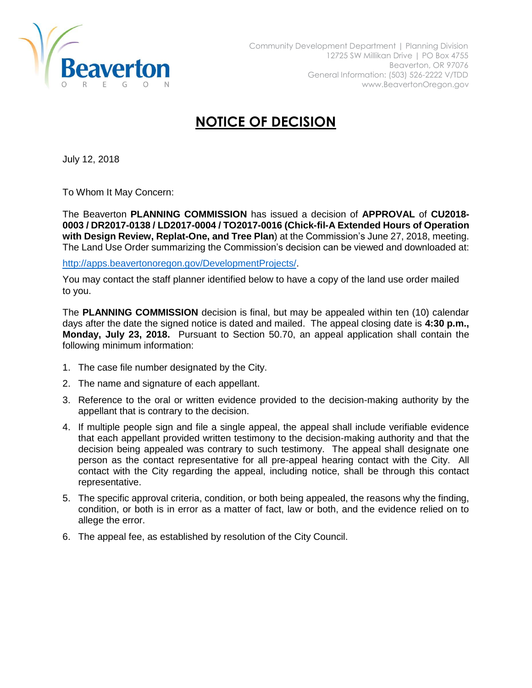

## **NOTICE OF DECISION**

July 12, 2018

To Whom It May Concern:

The Beaverton **PLANNING COMMISSION** has issued a decision of **APPROVAL** of **CU2018- 0003 / DR2017-0138 / LD2017-0004 / TO2017-0016 (Chick-fil-A Extended Hours of Operation with Design Review, Replat-One, and Tree Plan**) at the Commission's June 27, 2018, meeting. The Land Use Order summarizing the Commission's decision can be viewed and downloaded at:

[http://apps.beavertonoregon.gov/DevelopmentProjects/.](http://apps.beavertonoregon.gov/DevelopmentProjects/)

You may contact the staff planner identified below to have a copy of the land use order mailed to you.

The **PLANNING COMMISSION** decision is final, but may be appealed within ten (10) calendar days after the date the signed notice is dated and mailed. The appeal closing date is **4:30 p.m., Monday, July 23, 2018.** Pursuant to Section 50.70, an appeal application shall contain the following minimum information:

- 1. The case file number designated by the City.
- 2. The name and signature of each appellant.
- 3. Reference to the oral or written evidence provided to the decision-making authority by the appellant that is contrary to the decision.
- 4. If multiple people sign and file a single appeal, the appeal shall include verifiable evidence that each appellant provided written testimony to the decision-making authority and that the decision being appealed was contrary to such testimony. The appeal shall designate one person as the contact representative for all pre-appeal hearing contact with the City. All contact with the City regarding the appeal, including notice, shall be through this contact representative.
- 5. The specific approval criteria, condition, or both being appealed, the reasons why the finding, condition, or both is in error as a matter of fact, law or both, and the evidence relied on to allege the error.
- 6. The appeal fee, as established by resolution of the City Council.